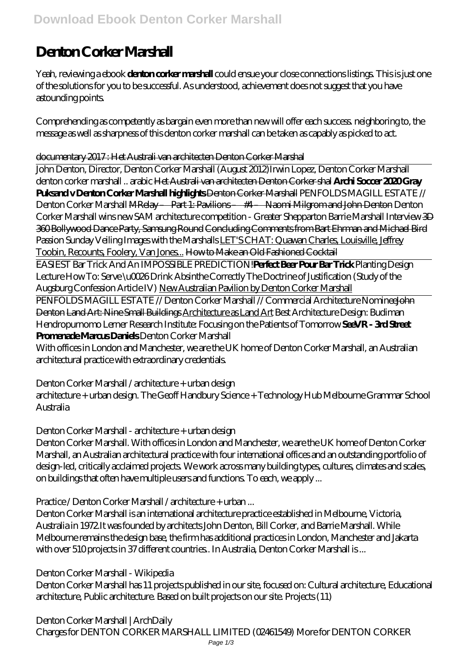## **Denton Corker Marshall**

Yeah, reviewing a ebook **denton corker marshall** could ensue your close connections listings. This is just one of the solutions for you to be successful. As understood, achievement does not suggest that you have astounding points.

Comprehending as competently as bargain even more than new will offer each success. neighboring to, the message as well as sharpness of this denton corker marshall can be taken as capably as picked to act.

## documentary 2017 : Het Australi van architecten Denton Corker Marshal

John Denton, Director, Denton Corker Marshall (August 2012)*Irwin Lopez, Denton Corker Marshall denton corker marshall .. arabic* Het Australi van architecten Denton Corker shal **Archi Soccer 2020 Gray Puksand v Denton Corker Marshall highlights** Denton Corker Marshall *PENFOLDS MAGILL ESTATE // Denton Corker Marshall* MRelay – Part 1: Pavilions – #4 – Naomi Milgrom and John Denton *Denton Corker Marshall wins new SAM architecture competition - Greater Shepparton Barrie Marshall Interview* 3D 360 Bollywood Dance Party, Samsung Round Concluding Comments from Bart Ehrman and Michael Bird Passion Sunday Veiling Images with the Marshalls LET'S CHAT: Quawan Charles, Louisville, Jeffrey Toobin, Recounts, Foolery, Van Jones... How to Make an Old Fashioned Cocktail

EASIEST Bar Trick And An IMPOSSIBLE PREDICTION!**Perfect Beer Pour Bar Trick** Planting Design Lecture *How To: Serve \u0026 Drink Absinthe Correctly The Doctrine of Justification (Study of the Augsburg Confession Article IV)* New Australian Pavilion by Denton Corker Marshall

PENFOLDS MAGILL ESTATE // Denton Corker Marshall // Commercial Architecture NomineeJohn Denton Land Art: Nine Small Buildings Architecture as Land Art Best Architecture Design: Budiman Hendropurnomo Lerner Research Institute: Focusing on the Patients of Tomorrow **SeeVR - 3rd Street Promenade Marcus Daniels** Denton Corker Marshall

With offices in London and Manchester, we are the UK home of Denton Corker Marshall, an Australian architectural practice with extraordinary credentials.

Denton Corker Marshall / architecture + urban design

architecture + urban design. The Geoff Handbury Science + Technology Hub Melbourne Grammar School Australia

Denton Corker Marshall - architecture + urban design

Denton Corker Marshall. With offices in London and Manchester, we are the UK home of Denton Corker Marshall, an Australian architectural practice with four international offices and an outstanding portfolio of design-led, critically acclaimed projects. We work across many building types, cultures, climates and scales, on buildings that often have multiple users and functions. To each, we apply ...

Practice / Denton Corker Marshall / architecture + urban ...

Denton Corker Marshall is an international architecture practice established in Melbourne, Victoria, Australia in 1972.It was founded by architects John Denton, Bill Corker, and Barrie Marshall. While Melbourne remains the design base, the firm has additional practices in London, Manchester and Jakarta with over 510 projects in 37 different countries.. In Australia, Denton Corker Marshall is ...

Denton Corker Marshall - Wikipedia

Denton Corker Marshall has 11 projects published in our site, focused on: Cultural architecture, Educational architecture, Public architecture. Based on built projects on our site. Projects (11)

Denton Corker Marshall | ArchDaily Charges for DENTON CORKER MARSHALL LIMITED (02461549) More for DENTON CORKER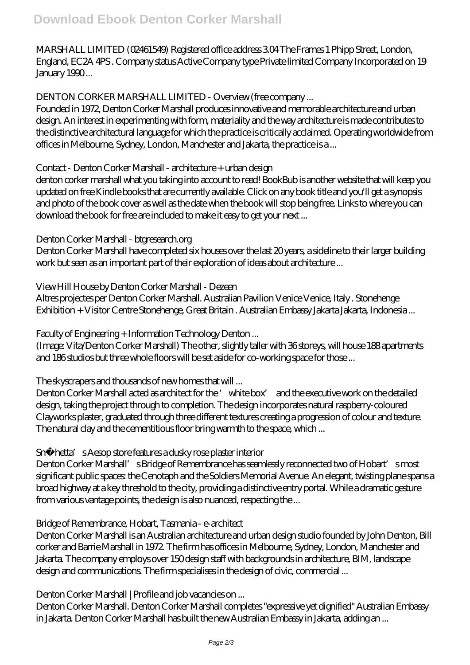MARSHALL LIMITED (02461549) Registered office address 3.04 The Frames 1 Phipp Street, London, England, EC2A 4PS . Company status Active Company type Private limited Company Incorporated on 19 January 1990...

DENTON CORKER MARSHALL LIMITED - Overview (free company ...

Founded in 1972, Denton Corker Marshall produces innovative and memorable architecture and urban design. An interest in experimenting with form, materiality and the way architecture is made contributes to the distinctive architectural language for which the practice is critically acclaimed. Operating worldwide from offices in Melbourne, Sydney, London, Manchester and Jakarta, the practice is a ...

Contact - Denton Corker Marshall - architecture + urban design

denton corker marshall what you taking into account to read! BookBub is another website that will keep you updated on free Kindle books that are currently available. Click on any book title and you'll get a synopsis and photo of the book cover as well as the date when the book will stop being free. Links to where you can download the book for free are included to make it easy to get your next ...

Denton Corker Marshall - btgresearch.org

Denton Corker Marshall have completed six houses over the last 20 years, a sideline to their larger building work but seen as an important part of their exploration of ideas about architecture ...

View Hill House by Denton Corker Marshall - Dezeen

Altres projectes per Denton Corker Marshall. Australian Pavilion Venice Venice, Italy . Stonehenge Exhibition + Visitor Centre Stonehenge, Great Britain . Australian Embassy Jakarta Jakarta, Indonesia ...

Faculty of Engineering + Information Technology Denton ...

(Image: Vita/Denton Corker Marshall) The other, slightly taller with 36 storeys, will house 188 apartments and 186 studios but three whole floors will be set aside for co-working space for those ...

The skyscrapers and thousands of new homes that will ...

Denton Corker Marshall acted as architect for the ' white box' and the executive work on the detailed design, taking the project through to completion. The design incorporates natural raspberry-coloured Clayworks plaster, graduated through three different textures creating a progression of colour and texture. The natural clay and the cementitious floor bring warmth to the space, which ...

Snøhetta's Aesop store features a dusky rose plaster interior

Denton Corker Marshall' s Bridge of Remembrance has seamlessly reconnected two of Hobart' smost significant public spaces: the Cenotaph and the Soldiers Memorial Avenue. An elegant, twisting plane spans a broad highway at a key threshold to the city, providing a distinctive entry portal. While a dramatic gesture from various vantage points, the design is also nuanced, respecting the ...

Bridge of Remembrance, Hobart, Tasmania - e-architect

Denton Corker Marshall is an Australian architecture and urban design studio founded by John Denton, Bill corker and Barrie Marshall in 1972. The firm has offices in Melbourne, Sydney, London, Manchester and Jakarta. The company employs over 150 design staff with backgrounds in architecture, BIM, landscape design and communications. The firm specialises in the design of civic, commercial ...

Denton Corker Marshall | Profile and job vacancies on ...

Denton Corker Marshall. Denton Corker Marshall completes "expressive yet dignified" Australian Embassy in Jakarta. Denton Corker Marshall has built the new Australian Embassy in Jakarta, adding an ...